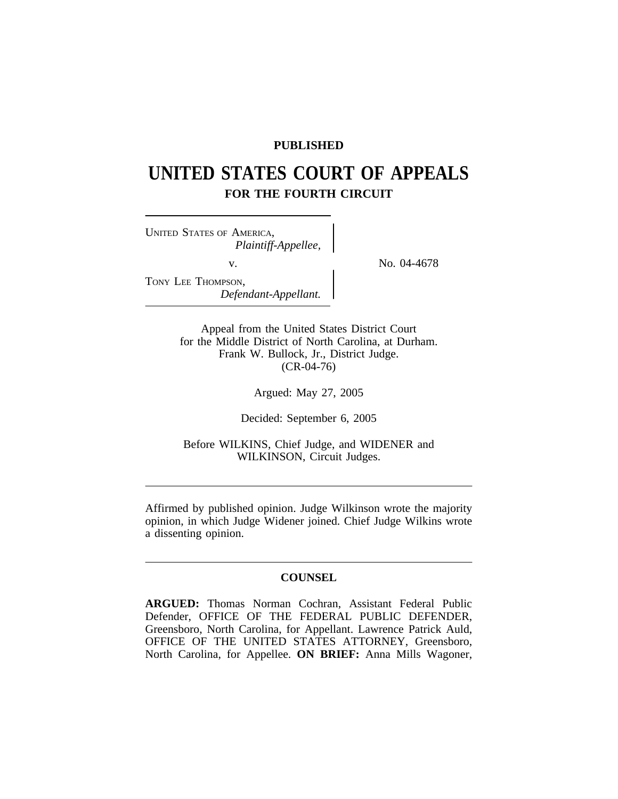## **PUBLISHED**

# **UNITED STATES COURT OF APPEALS FOR THE FOURTH CIRCUIT**

<sup>U</sup>NITED STATES OF AMERICA, *Plaintiff-Appellee,* v.  $N_{\rm O.}$  04-4678 TONY LEE THOMPSON, *Defendant-Appellant.*

Appeal from the United States District Court for the Middle District of North Carolina, at Durham. Frank W. Bullock, Jr., District Judge. (CR-04-76)

Argued: May 27, 2005

Decided: September 6, 2005

Before WILKINS, Chief Judge, and WIDENER and WILKINSON, Circuit Judges.

Affirmed by published opinion. Judge Wilkinson wrote the majority opinion, in which Judge Widener joined. Chief Judge Wilkins wrote a dissenting opinion.

## **COUNSEL**

**ARGUED:** Thomas Norman Cochran, Assistant Federal Public Defender, OFFICE OF THE FEDERAL PUBLIC DEFENDER, Greensboro, North Carolina, for Appellant. Lawrence Patrick Auld, OFFICE OF THE UNITED STATES ATTORNEY, Greensboro, North Carolina, for Appellee. **ON BRIEF:** Anna Mills Wagoner,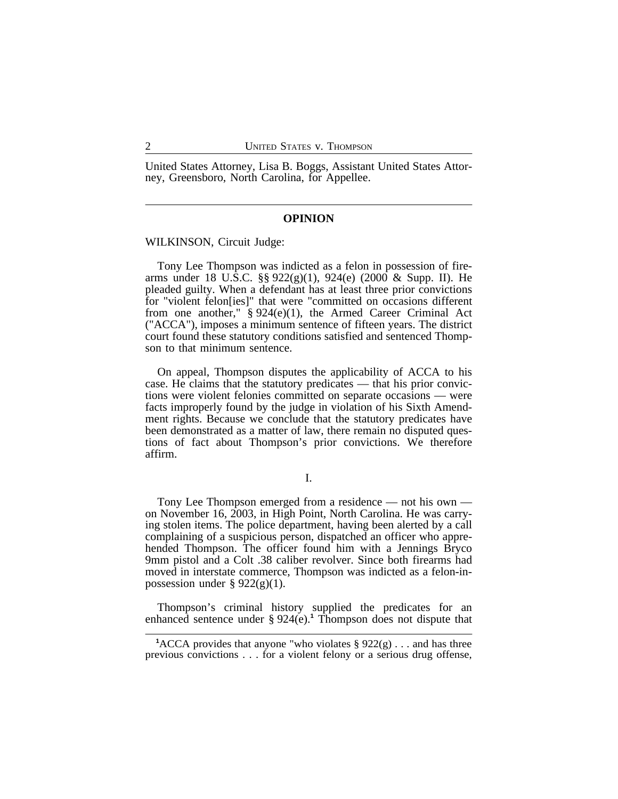United States Attorney, Lisa B. Boggs, Assistant United States Attorney, Greensboro, North Carolina, for Appellee.

#### **OPINION**

WILKINSON, Circuit Judge:

Tony Lee Thompson was indicted as a felon in possession of firearms under 18 U.S.C.  $\S$ § 922(g)(1), 924(e) (2000 & Supp. II). He pleaded guilty. When a defendant has at least three prior convictions for "violent felon[ies]" that were "committed on occasions different from one another,"  $\S 924(e)(1)$ , the Armed Career Criminal Act ("ACCA"), imposes a minimum sentence of fifteen years. The district court found these statutory conditions satisfied and sentenced Thompson to that minimum sentence.

On appeal, Thompson disputes the applicability of ACCA to his case. He claims that the statutory predicates — that his prior convictions were violent felonies committed on separate occasions — were facts improperly found by the judge in violation of his Sixth Amendment rights. Because we conclude that the statutory predicates have been demonstrated as a matter of law, there remain no disputed questions of fact about Thompson's prior convictions. We therefore affirm.

#### I.

Tony Lee Thompson emerged from a residence — not his own on November 16, 2003, in High Point, North Carolina. He was carrying stolen items. The police department, having been alerted by a call complaining of a suspicious person, dispatched an officer who apprehended Thompson. The officer found him with a Jennings Bryco 9mm pistol and a Colt .38 caliber revolver. Since both firearms had moved in interstate commerce, Thompson was indicted as a felon-inpossession under  $\S 922(g)(1)$ .

Thompson's criminal history supplied the predicates for an enhanced sentence under § 924(e).**<sup>1</sup>** Thompson does not dispute that

<sup>&</sup>lt;sup>1</sup>ACCA provides that anyone "who violates  $\S 922(g) \ldots$  and has three previous convictions . . . for a violent felony or a serious drug offense,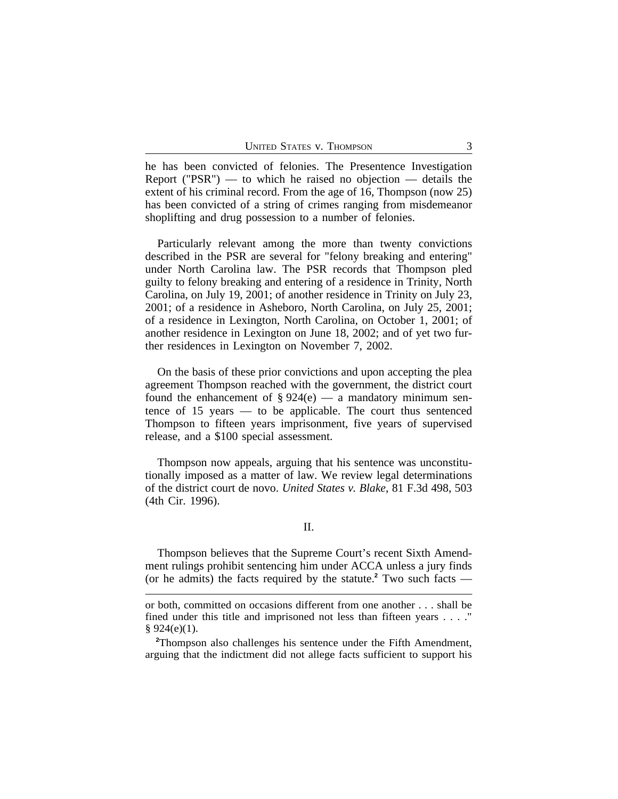he has been convicted of felonies. The Presentence Investigation Report ("PSR") — to which he raised no objection — details the extent of his criminal record. From the age of 16, Thompson (now 25) has been convicted of a string of crimes ranging from misdemeanor shoplifting and drug possession to a number of felonies.

Particularly relevant among the more than twenty convictions described in the PSR are several for "felony breaking and entering" under North Carolina law. The PSR records that Thompson pled guilty to felony breaking and entering of a residence in Trinity, North Carolina, on July 19, 2001; of another residence in Trinity on July 23, 2001; of a residence in Asheboro, North Carolina, on July 25, 2001; of a residence in Lexington, North Carolina, on October 1, 2001; of another residence in Lexington on June 18, 2002; and of yet two further residences in Lexington on November 7, 2002.

On the basis of these prior convictions and upon accepting the plea agreement Thompson reached with the government, the district court found the enhancement of  $\S 924(e)$  — a mandatory minimum sentence of 15 years — to be applicable. The court thus sentenced Thompson to fifteen years imprisonment, five years of supervised release, and a \$100 special assessment.

Thompson now appeals, arguing that his sentence was unconstitutionally imposed as a matter of law. We review legal determinations of the district court de novo. *United States v. Blake*, 81 F.3d 498, 503 (4th Cir. 1996).

## II.

Thompson believes that the Supreme Court's recent Sixth Amendment rulings prohibit sentencing him under ACCA unless a jury finds (or he admits) the facts required by the statute.**<sup>2</sup>** Two such facts —

or both, committed on occasions different from one another . . . shall be fined under this title and imprisoned not less than fifteen years . . . ."  $§ 924(e)(1).$ 

**<sup>2</sup>**Thompson also challenges his sentence under the Fifth Amendment, arguing that the indictment did not allege facts sufficient to support his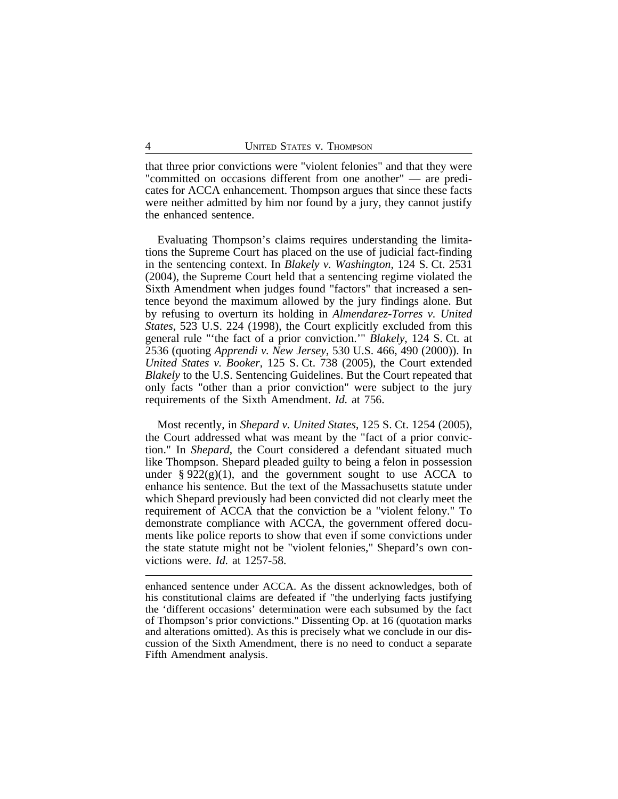that three prior convictions were "violent felonies" and that they were "committed on occasions different from one another" — are predicates for ACCA enhancement. Thompson argues that since these facts were neither admitted by him nor found by a jury, they cannot justify the enhanced sentence.

Evaluating Thompson's claims requires understanding the limitations the Supreme Court has placed on the use of judicial fact-finding in the sentencing context. In *Blakely v. Washington*, 124 S. Ct. 2531 (2004), the Supreme Court held that a sentencing regime violated the Sixth Amendment when judges found "factors" that increased a sentence beyond the maximum allowed by the jury findings alone. But by refusing to overturn its holding in *Almendarez-Torres v. United States*, 523 U.S. 224 (1998), the Court explicitly excluded from this general rule "'the fact of a prior conviction.'" *Blakely*, 124 S. Ct. at 2536 (quoting *Apprendi v. New Jersey*, 530 U.S. 466, 490 (2000)). In *United States v. Booker*, 125 S. Ct. 738 (2005), the Court extended *Blakely* to the U.S. Sentencing Guidelines. But the Court repeated that only facts "other than a prior conviction" were subject to the jury requirements of the Sixth Amendment. *Id.* at 756.

Most recently, in *Shepard v. United States*, 125 S. Ct. 1254 (2005), the Court addressed what was meant by the "fact of a prior conviction." In *Shepard*, the Court considered a defendant situated much like Thompson. Shepard pleaded guilty to being a felon in possession under  $\S 922(g)(1)$ , and the government sought to use ACCA to enhance his sentence. But the text of the Massachusetts statute under which Shepard previously had been convicted did not clearly meet the requirement of ACCA that the conviction be a "violent felony." To demonstrate compliance with ACCA, the government offered documents like police reports to show that even if some convictions under the state statute might not be "violent felonies," Shepard's own convictions were. *Id.* at 1257-58.

enhanced sentence under ACCA. As the dissent acknowledges, both of his constitutional claims are defeated if "the underlying facts justifying the 'different occasions' determination were each subsumed by the fact of Thompson's prior convictions." Dissenting Op. at 16 (quotation marks and alterations omitted). As this is precisely what we conclude in our discussion of the Sixth Amendment, there is no need to conduct a separate Fifth Amendment analysis.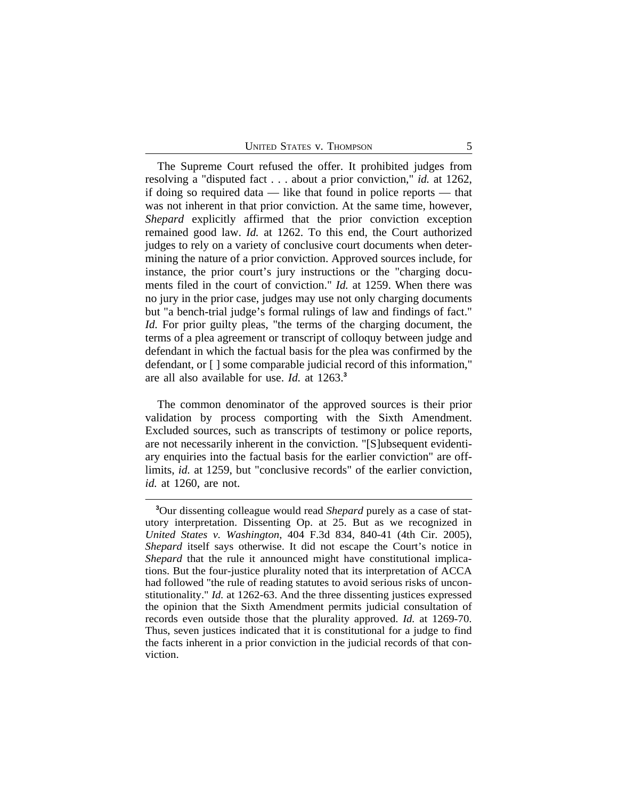The Supreme Court refused the offer. It prohibited judges from resolving a "disputed fact . . . about a prior conviction," *id.* at 1262, if doing so required data — like that found in police reports — that was not inherent in that prior conviction. At the same time, however, *Shepard* explicitly affirmed that the prior conviction exception remained good law. *Id.* at 1262. To this end, the Court authorized judges to rely on a variety of conclusive court documents when determining the nature of a prior conviction. Approved sources include, for instance, the prior court's jury instructions or the "charging documents filed in the court of conviction." *Id.* at 1259. When there was no jury in the prior case, judges may use not only charging documents but "a bench-trial judge's formal rulings of law and findings of fact." *Id.* For prior guilty pleas, "the terms of the charging document, the terms of a plea agreement or transcript of colloquy between judge and defendant in which the factual basis for the plea was confirmed by the defendant, or [ ] some comparable judicial record of this information," are all also available for use. *Id.* at 1263.**<sup>3</sup>**

The common denominator of the approved sources is their prior validation by process comporting with the Sixth Amendment. Excluded sources, such as transcripts of testimony or police reports, are not necessarily inherent in the conviction. "[S]ubsequent evidentiary enquiries into the factual basis for the earlier conviction" are offlimits, *id.* at 1259, but "conclusive records" of the earlier conviction, *id.* at 1260, are not.

**<sup>3</sup>**Our dissenting colleague would read *Shepard* purely as a case of statutory interpretation. Dissenting Op. at 25. But as we recognized in *United States v. Washington*, 404 F.3d 834, 840-41 (4th Cir. 2005), *Shepard* itself says otherwise. It did not escape the Court's notice in *Shepard* that the rule it announced might have constitutional implications. But the four-justice plurality noted that its interpretation of ACCA had followed "the rule of reading statutes to avoid serious risks of unconstitutionality." *Id.* at 1262-63. And the three dissenting justices expressed the opinion that the Sixth Amendment permits judicial consultation of records even outside those that the plurality approved. *Id.* at 1269-70. Thus, seven justices indicated that it is constitutional for a judge to find the facts inherent in a prior conviction in the judicial records of that conviction.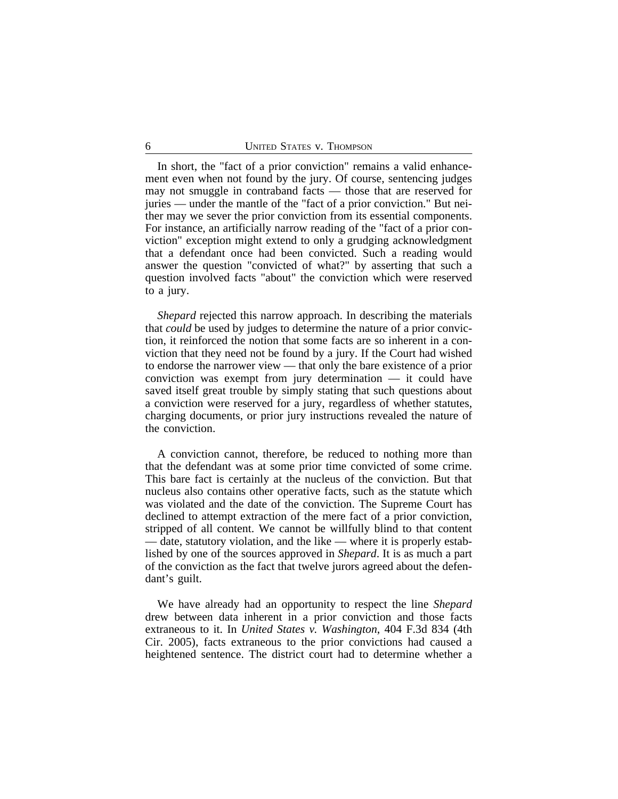In short, the "fact of a prior conviction" remains a valid enhancement even when not found by the jury. Of course, sentencing judges may not smuggle in contraband facts — those that are reserved for juries — under the mantle of the "fact of a prior conviction." But neither may we sever the prior conviction from its essential components. For instance, an artificially narrow reading of the "fact of a prior conviction" exception might extend to only a grudging acknowledgment that a defendant once had been convicted. Such a reading would answer the question "convicted of what?" by asserting that such a question involved facts "about" the conviction which were reserved to a jury.

*Shepard* rejected this narrow approach. In describing the materials that *could* be used by judges to determine the nature of a prior conviction, it reinforced the notion that some facts are so inherent in a conviction that they need not be found by a jury. If the Court had wished to endorse the narrower view — that only the bare existence of a prior conviction was exempt from jury determination — it could have saved itself great trouble by simply stating that such questions about a conviction were reserved for a jury, regardless of whether statutes, charging documents, or prior jury instructions revealed the nature of the conviction.

A conviction cannot, therefore, be reduced to nothing more than that the defendant was at some prior time convicted of some crime. This bare fact is certainly at the nucleus of the conviction. But that nucleus also contains other operative facts, such as the statute which was violated and the date of the conviction. The Supreme Court has declined to attempt extraction of the mere fact of a prior conviction, stripped of all content. We cannot be willfully blind to that content — date, statutory violation, and the like — where it is properly established by one of the sources approved in *Shepard*. It is as much a part of the conviction as the fact that twelve jurors agreed about the defendant's guilt.

We have already had an opportunity to respect the line *Shepard* drew between data inherent in a prior conviction and those facts extraneous to it. In *United States v. Washington*, 404 F.3d 834 (4th Cir. 2005), facts extraneous to the prior convictions had caused a heightened sentence. The district court had to determine whether a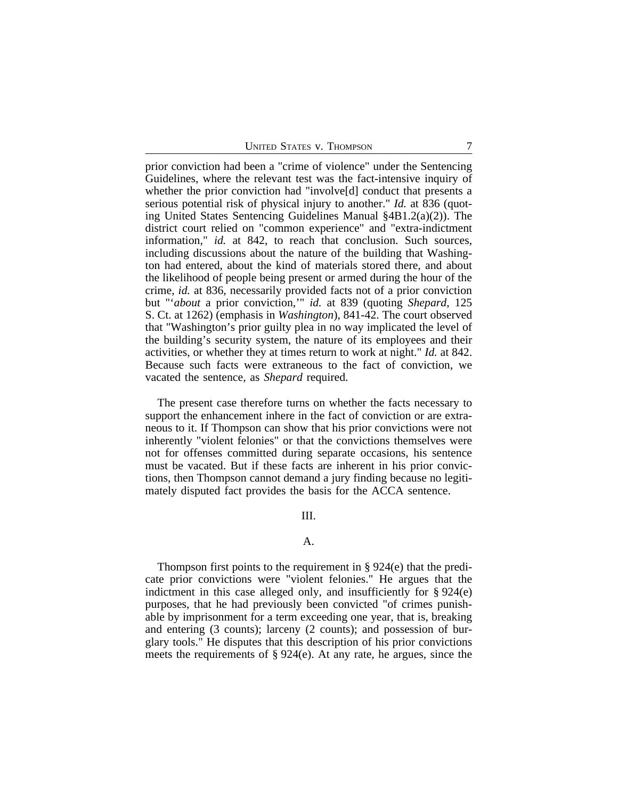prior conviction had been a "crime of violence" under the Sentencing Guidelines, where the relevant test was the fact-intensive inquiry of whether the prior conviction had "involve[d] conduct that presents a serious potential risk of physical injury to another." *Id.* at 836 (quoting United States Sentencing Guidelines Manual §4B1.2(a)(2)). The district court relied on "common experience" and "extra-indictment information," *id.* at 842, to reach that conclusion. Such sources, including discussions about the nature of the building that Washington had entered, about the kind of materials stored there, and about the likelihood of people being present or armed during the hour of the crime, *id.* at 836, necessarily provided facts not of a prior conviction but "'*about* a prior conviction,'" *id.* at 839 (quoting *Shepard*, 125 S. Ct. at 1262) (emphasis in *Washington*), 841-42. The court observed that "Washington's prior guilty plea in no way implicated the level of the building's security system, the nature of its employees and their activities, or whether they at times return to work at night." *Id.* at 842. Because such facts were extraneous to the fact of conviction, we vacated the sentence, as *Shepard* required.

The present case therefore turns on whether the facts necessary to support the enhancement inhere in the fact of conviction or are extraneous to it. If Thompson can show that his prior convictions were not inherently "violent felonies" or that the convictions themselves were not for offenses committed during separate occasions, his sentence must be vacated. But if these facts are inherent in his prior convictions, then Thompson cannot demand a jury finding because no legitimately disputed fact provides the basis for the ACCA sentence.

## III.

## A.

Thompson first points to the requirement in § 924(e) that the predicate prior convictions were "violent felonies." He argues that the indictment in this case alleged only, and insufficiently for  $\S 924(e)$ purposes, that he had previously been convicted "of crimes punishable by imprisonment for a term exceeding one year, that is, breaking and entering (3 counts); larceny (2 counts); and possession of burglary tools." He disputes that this description of his prior convictions meets the requirements of § 924(e). At any rate, he argues, since the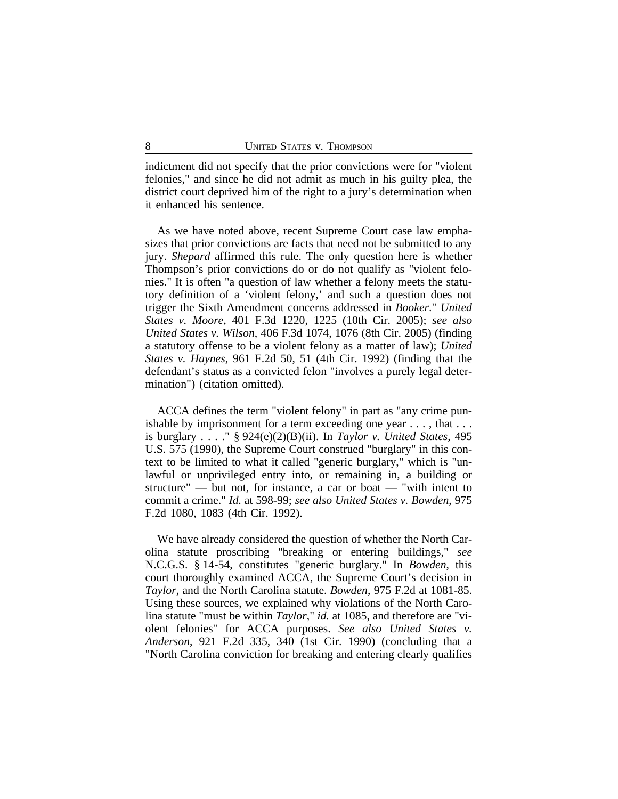indictment did not specify that the prior convictions were for "violent felonies," and since he did not admit as much in his guilty plea, the district court deprived him of the right to a jury's determination when it enhanced his sentence.

As we have noted above, recent Supreme Court case law emphasizes that prior convictions are facts that need not be submitted to any jury. *Shepard* affirmed this rule. The only question here is whether Thompson's prior convictions do or do not qualify as "violent felonies." It is often "a question of law whether a felony meets the statutory definition of a 'violent felony,' and such a question does not trigger the Sixth Amendment concerns addressed in *Booker*." *United States v. Moore*, 401 F.3d 1220, 1225 (10th Cir. 2005); *see also United States v. Wilson*, 406 F.3d 1074, 1076 (8th Cir. 2005) (finding a statutory offense to be a violent felony as a matter of law); *United States v. Haynes*, 961 F.2d 50, 51 (4th Cir. 1992) (finding that the defendant's status as a convicted felon "involves a purely legal determination") (citation omitted).

ACCA defines the term "violent felony" in part as "any crime punishable by imprisonment for a term exceeding one year . . . , that . . . is burglary . . . ." § 924(e)(2)(B)(ii). In *Taylor v. United States*, 495 U.S. 575 (1990), the Supreme Court construed "burglary" in this context to be limited to what it called "generic burglary," which is "unlawful or unprivileged entry into, or remaining in, a building or structure" — but not, for instance, a car or boat — "with intent to commit a crime." *Id.* at 598-99; *see also United States v. Bowden*, 975 F.2d 1080, 1083 (4th Cir. 1992).

We have already considered the question of whether the North Carolina statute proscribing "breaking or entering buildings," *see* N.C.G.S. § 14-54, constitutes "generic burglary." In *Bowden*, this court thoroughly examined ACCA, the Supreme Court's decision in *Taylor*, and the North Carolina statute. *Bowden*, 975 F.2d at 1081-85. Using these sources, we explained why violations of the North Carolina statute "must be within *Taylor*," *id.* at 1085, and therefore are "violent felonies" for ACCA purposes. *See also United States v. Anderson*, 921 F.2d 335, 340 (1st Cir. 1990) (concluding that a "North Carolina conviction for breaking and entering clearly qualifies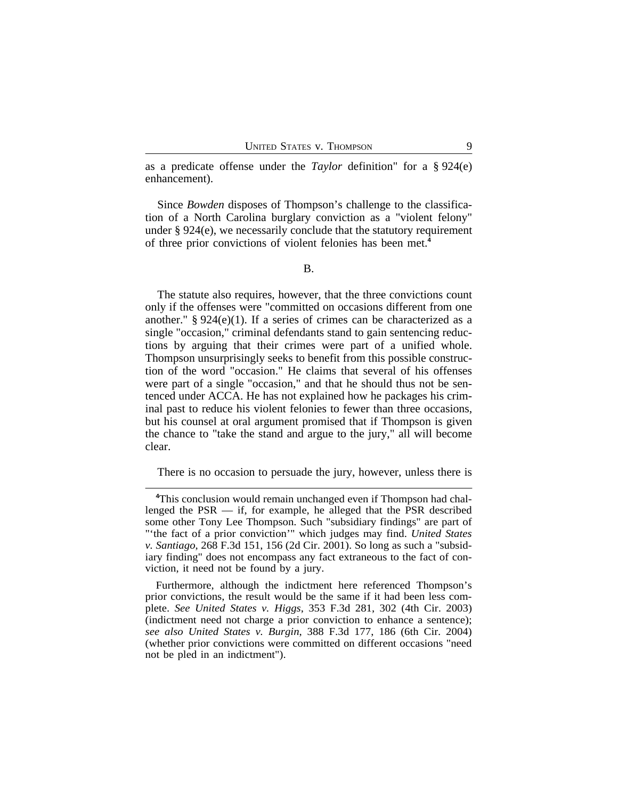as a predicate offense under the *Taylor* definition" for a § 924(e) enhancement).

Since *Bowden* disposes of Thompson's challenge to the classification of a North Carolina burglary conviction as a "violent felony" under § 924(e), we necessarily conclude that the statutory requirement of three prior convictions of violent felonies has been met.**<sup>4</sup>**

The statute also requires, however, that the three convictions count only if the offenses were "committed on occasions different from one another."  $\S 924(e)(1)$ . If a series of crimes can be characterized as a single "occasion," criminal defendants stand to gain sentencing reductions by arguing that their crimes were part of a unified whole. Thompson unsurprisingly seeks to benefit from this possible construction of the word "occasion." He claims that several of his offenses were part of a single "occasion," and that he should thus not be sentenced under ACCA. He has not explained how he packages his criminal past to reduce his violent felonies to fewer than three occasions, but his counsel at oral argument promised that if Thompson is given the chance to "take the stand and argue to the jury," all will become clear.

There is no occasion to persuade the jury, however, unless there is

**<sup>4</sup>**This conclusion would remain unchanged even if Thompson had challenged the  $PSR$  — if, for example, he alleged that the  $PSR$  described some other Tony Lee Thompson. Such "subsidiary findings" are part of "'the fact of a prior conviction'" which judges may find. *United States v. Santiago*, 268 F.3d 151, 156 (2d Cir. 2001). So long as such a "subsidiary finding" does not encompass any fact extraneous to the fact of conviction, it need not be found by a jury.

Furthermore, although the indictment here referenced Thompson's prior convictions, the result would be the same if it had been less complete. *See United States v. Higgs*, 353 F.3d 281, 302 (4th Cir. 2003) (indictment need not charge a prior conviction to enhance a sentence); *see also United States v. Burgin*, 388 F.3d 177, 186 (6th Cir. 2004) (whether prior convictions were committed on different occasions "need not be pled in an indictment").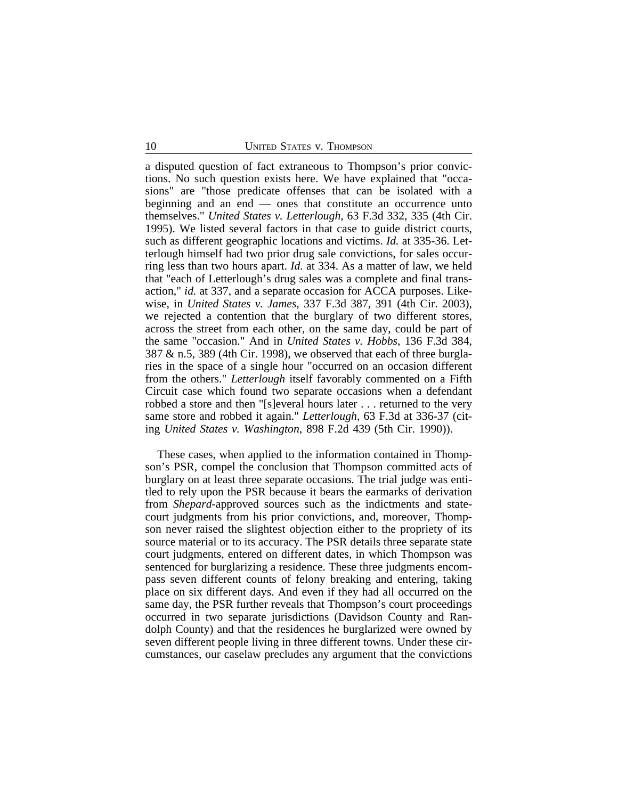a disputed question of fact extraneous to Thompson's prior convictions. No such question exists here. We have explained that "occasions" are "those predicate offenses that can be isolated with a beginning and an end — ones that constitute an occurrence unto themselves." *United States v. Letterlough*, 63 F.3d 332, 335 (4th Cir. 1995). We listed several factors in that case to guide district courts, such as different geographic locations and victims. *Id.* at 335-36. Letterlough himself had two prior drug sale convictions, for sales occurring less than two hours apart. *Id.* at 334. As a matter of law, we held that "each of Letterlough's drug sales was a complete and final transaction," *id.* at 337, and a separate occasion for ACCA purposes. Likewise, in *United States v. James*, 337 F.3d 387, 391 (4th Cir. 2003), we rejected a contention that the burglary of two different stores, across the street from each other, on the same day, could be part of the same "occasion." And in *United States v. Hobbs*, 136 F.3d 384, 387 & n.5, 389 (4th Cir. 1998), we observed that each of three burglaries in the space of a single hour "occurred on an occasion different from the others." *Letterlough* itself favorably commented on a Fifth Circuit case which found two separate occasions when a defendant robbed a store and then "[s]everal hours later . . . returned to the very same store and robbed it again." *Letterlough*, 63 F.3d at 336-37 (citing *United States v. Washington*, 898 F.2d 439 (5th Cir. 1990)).

These cases, when applied to the information contained in Thompson's PSR, compel the conclusion that Thompson committed acts of burglary on at least three separate occasions. The trial judge was entitled to rely upon the PSR because it bears the earmarks of derivation from *Shepard*-approved sources such as the indictments and statecourt judgments from his prior convictions, and, moreover, Thompson never raised the slightest objection either to the propriety of its source material or to its accuracy. The PSR details three separate state court judgments, entered on different dates, in which Thompson was sentenced for burglarizing a residence. These three judgments encompass seven different counts of felony breaking and entering, taking place on six different days. And even if they had all occurred on the same day, the PSR further reveals that Thompson's court proceedings occurred in two separate jurisdictions (Davidson County and Randolph County) and that the residences he burglarized were owned by seven different people living in three different towns. Under these circumstances, our caselaw precludes any argument that the convictions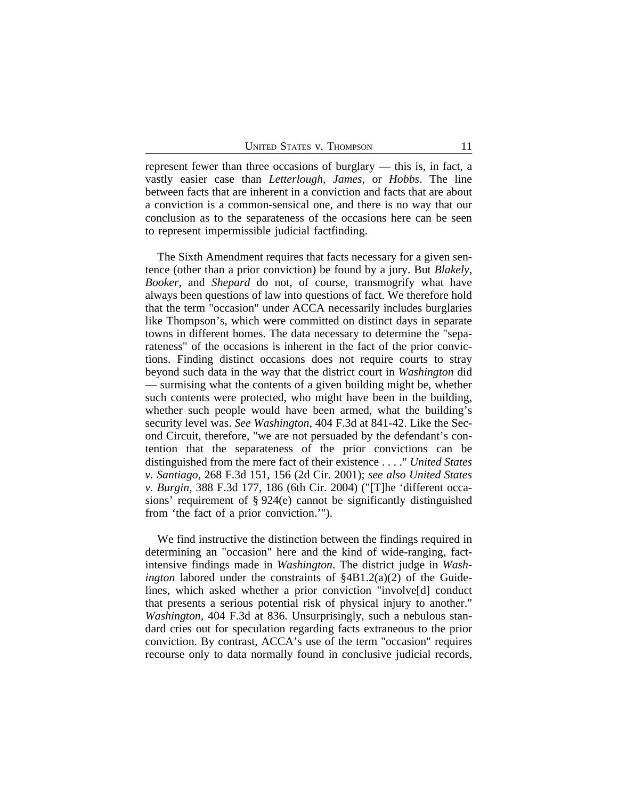represent fewer than three occasions of burglary — this is, in fact, a vastly easier case than *Letterlough*, *James*, or *Hobbs*. The line between facts that are inherent in a conviction and facts that are about a conviction is a common-sensical one, and there is no way that our conclusion as to the separateness of the occasions here can be seen to represent impermissible judicial factfinding.

The Sixth Amendment requires that facts necessary for a given sentence (other than a prior conviction) be found by a jury. But *Blakely*, *Booker*, and *Shepard* do not, of course, transmogrify what have always been questions of law into questions of fact. We therefore hold that the term "occasion" under ACCA necessarily includes burglaries like Thompson's, which were committed on distinct days in separate towns in different homes. The data necessary to determine the "separateness" of the occasions is inherent in the fact of the prior convictions. Finding distinct occasions does not require courts to stray beyond such data in the way that the district court in *Washington* did — surmising what the contents of a given building might be, whether such contents were protected, who might have been in the building, whether such people would have been armed, what the building's security level was. *See Washington*, 404 F.3d at 841-42. Like the Second Circuit, therefore, "we are not persuaded by the defendant's contention that the separateness of the prior convictions can be distinguished from the mere fact of their existence . . . ." *United States v. Santiago*, 268 F.3d 151, 156 (2d Cir. 2001); *see also United States v. Burgin*, 388 F.3d 177, 186 (6th Cir. 2004) ("[T]he 'different occasions' requirement of § 924(e) cannot be significantly distinguished from 'the fact of a prior conviction.'").

We find instructive the distinction between the findings required in determining an "occasion" here and the kind of wide-ranging, factintensive findings made in *Washington*. The district judge in *Washington* labored under the constraints of §4B1.2(a)(2) of the Guidelines, which asked whether a prior conviction "involve[d] conduct that presents a serious potential risk of physical injury to another." *Washington*, 404 F.3d at 836. Unsurprisingly, such a nebulous standard cries out for speculation regarding facts extraneous to the prior conviction. By contrast, ACCA's use of the term "occasion" requires recourse only to data normally found in conclusive judicial records,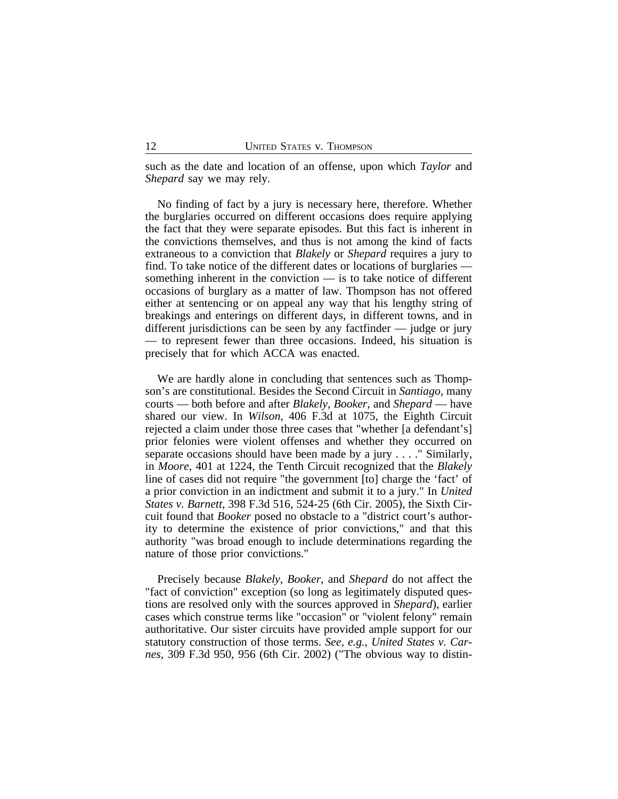such as the date and location of an offense, upon which *Taylor* and *Shepard* say we may rely.

No finding of fact by a jury is necessary here, therefore. Whether the burglaries occurred on different occasions does require applying the fact that they were separate episodes. But this fact is inherent in the convictions themselves, and thus is not among the kind of facts extraneous to a conviction that *Blakely* or *Shepard* requires a jury to find. To take notice of the different dates or locations of burglaries something inherent in the conviction — is to take notice of different occasions of burglary as a matter of law. Thompson has not offered either at sentencing or on appeal any way that his lengthy string of breakings and enterings on different days, in different towns, and in different jurisdictions can be seen by any factfinder — judge or jury — to represent fewer than three occasions. Indeed, his situation is precisely that for which ACCA was enacted.

We are hardly alone in concluding that sentences such as Thompson's are constitutional. Besides the Second Circuit in *Santiago*, many courts — both before and after *Blakely*, *Booker*, and *Shepard* — have shared our view. In *Wilson*, 406 F.3d at 1075, the Eighth Circuit rejected a claim under those three cases that "whether [a defendant's] prior felonies were violent offenses and whether they occurred on separate occasions should have been made by a jury . . . ." Similarly, in *Moore*, 401 at 1224, the Tenth Circuit recognized that the *Blakely* line of cases did not require "the government [to] charge the 'fact' of a prior conviction in an indictment and submit it to a jury." In *United States v. Barnett*, 398 F.3d 516, 524-25 (6th Cir. 2005), the Sixth Circuit found that *Booker* posed no obstacle to a "district court's authority to determine the existence of prior convictions," and that this authority "was broad enough to include determinations regarding the nature of those prior convictions."

Precisely because *Blakely*, *Booker*, and *Shepard* do not affect the "fact of conviction" exception (so long as legitimately disputed questions are resolved only with the sources approved in *Shepard*), earlier cases which construe terms like "occasion" or "violent felony" remain authoritative. Our sister circuits have provided ample support for our statutory construction of those terms. *See, e.g.*, *United States v. Carnes*, 309 F.3d 950, 956 (6th Cir. 2002) ("The obvious way to distin-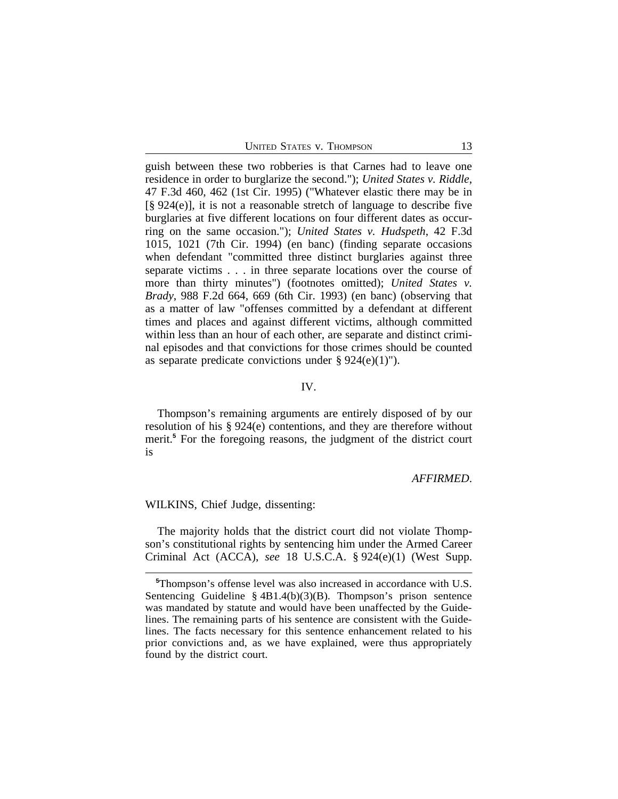guish between these two robberies is that Carnes had to leave one residence in order to burglarize the second."); *United States v. Riddle*, 47 F.3d 460, 462 (1st Cir. 1995) ("Whatever elastic there may be in [§ 924(e)], it is not a reasonable stretch of language to describe five burglaries at five different locations on four different dates as occurring on the same occasion."); *United States v. Hudspeth*, 42 F.3d 1015, 1021 (7th Cir. 1994) (en banc) (finding separate occasions when defendant "committed three distinct burglaries against three separate victims . . . in three separate locations over the course of more than thirty minutes") (footnotes omitted); *United States v. Brady*, 988 F.2d 664, 669 (6th Cir. 1993) (en banc) (observing that as a matter of law "offenses committed by a defendant at different times and places and against different victims, although committed within less than an hour of each other, are separate and distinct criminal episodes and that convictions for those crimes should be counted as separate predicate convictions under  $\S 924(e)(1)$ ").

#### IV.

Thompson's remaining arguments are entirely disposed of by our resolution of his § 924(e) contentions, and they are therefore without merit.**<sup>5</sup>** For the foregoing reasons, the judgment of the district court is

#### *AFFIRMED*.

WILKINS, Chief Judge, dissenting:

The majority holds that the district court did not violate Thompson's constitutional rights by sentencing him under the Armed Career Criminal Act (ACCA), *see* 18 U.S.C.A. § 924(e)(1) (West Supp.

**<sup>5</sup>**Thompson's offense level was also increased in accordance with U.S. Sentencing Guideline § 4B1.4(b)(3)(B). Thompson's prison sentence was mandated by statute and would have been unaffected by the Guidelines. The remaining parts of his sentence are consistent with the Guidelines. The facts necessary for this sentence enhancement related to his prior convictions and, as we have explained, were thus appropriately found by the district court.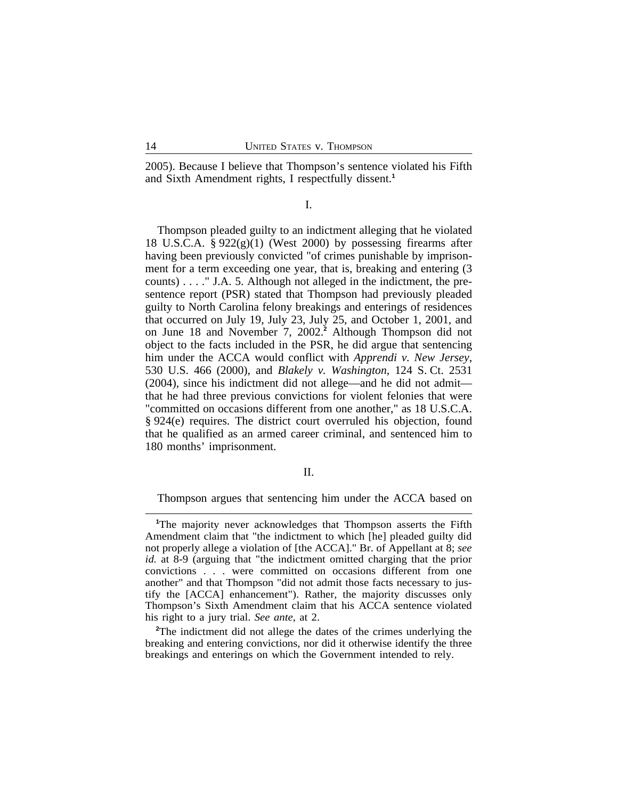2005). Because I believe that Thompson's sentence violated his Fifth and Sixth Amendment rights, I respectfully dissent.**<sup>1</sup>**

#### I.

Thompson pleaded guilty to an indictment alleging that he violated 18 U.S.C.A. § 922(g)(1) (West 2000) by possessing firearms after having been previously convicted "of crimes punishable by imprisonment for a term exceeding one year, that is, breaking and entering (3 counts) . . . ." J.A. 5. Although not alleged in the indictment, the presentence report (PSR) stated that Thompson had previously pleaded guilty to North Carolina felony breakings and enterings of residences that occurred on July 19, July 23, July 25, and October 1, 2001, and on June 18 and November 7, 2002.**<sup>2</sup>** Although Thompson did not object to the facts included in the PSR, he did argue that sentencing him under the ACCA would conflict with *Apprendi v. New Jersey*, 530 U.S. 466 (2000), and *Blakely v. Washington*, 124 S. Ct. 2531 (2004), since his indictment did not allege—and he did not admit that he had three previous convictions for violent felonies that were "committed on occasions different from one another," as 18 U.S.C.A. § 924(e) requires. The district court overruled his objection, found that he qualified as an armed career criminal, and sentenced him to 180 months' imprisonment.

### II.

Thompson argues that sentencing him under the ACCA based on

**<sup>2</sup>**The indictment did not allege the dates of the crimes underlying the breaking and entering convictions, nor did it otherwise identify the three breakings and enterings on which the Government intended to rely.

**<sup>1</sup>**The majority never acknowledges that Thompson asserts the Fifth Amendment claim that "the indictment to which [he] pleaded guilty did not properly allege a violation of [the ACCA]." Br. of Appellant at 8; *see id.* at 8-9 (arguing that "the indictment omitted charging that the prior convictions . . . were committed on occasions different from one another" and that Thompson "did not admit those facts necessary to justify the [ACCA] enhancement"). Rather, the majority discusses only Thompson's Sixth Amendment claim that his ACCA sentence violated his right to a jury trial. *See ante*, at 2.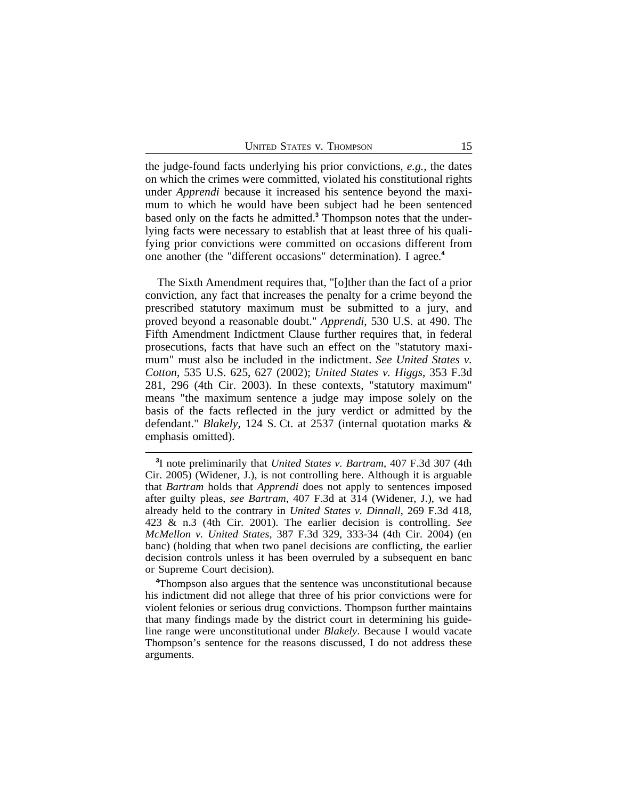the judge-found facts underlying his prior convictions, *e.g.*, the dates on which the crimes were committed, violated his constitutional rights under *Apprendi* because it increased his sentence beyond the maximum to which he would have been subject had he been sentenced based only on the facts he admitted.**<sup>3</sup>** Thompson notes that the underlying facts were necessary to establish that at least three of his qualifying prior convictions were committed on occasions different from one another (the "different occasions" determination). I agree.**<sup>4</sup>**

The Sixth Amendment requires that, "[o]ther than the fact of a prior conviction, any fact that increases the penalty for a crime beyond the prescribed statutory maximum must be submitted to a jury, and proved beyond a reasonable doubt." *Apprendi*, 530 U.S. at 490. The Fifth Amendment Indictment Clause further requires that, in federal prosecutions, facts that have such an effect on the "statutory maximum" must also be included in the indictment. *See United States v. Cotton*, 535 U.S. 625, 627 (2002); *United States v. Higgs*, 353 F.3d 281, 296 (4th Cir. 2003). In these contexts, "statutory maximum" means "the maximum sentence a judge may impose solely on the basis of the facts reflected in the jury verdict or admitted by the defendant." *Blakely*, 124 S. Ct. at 2537 (internal quotation marks & emphasis omitted).

**<sup>3</sup>** I note preliminarily that *United States v. Bartram*, 407 F.3d 307 (4th Cir. 2005) (Widener, J.), is not controlling here. Although it is arguable that *Bartram* holds that *Apprendi* does not apply to sentences imposed after guilty pleas, *see Bartram*, 407 F.3d at 314 (Widener, J.), we had already held to the contrary in *United States v. Dinnall*, 269 F.3d 418, 423 & n.3 (4th Cir. 2001). The earlier decision is controlling. *See McMellon v. United States*, 387 F.3d 329, 333-34 (4th Cir. 2004) (en banc) (holding that when two panel decisions are conflicting, the earlier decision controls unless it has been overruled by a subsequent en banc or Supreme Court decision).

**<sup>4</sup>**Thompson also argues that the sentence was unconstitutional because his indictment did not allege that three of his prior convictions were for violent felonies or serious drug convictions. Thompson further maintains that many findings made by the district court in determining his guideline range were unconstitutional under *Blakely*. Because I would vacate Thompson's sentence for the reasons discussed, I do not address these arguments.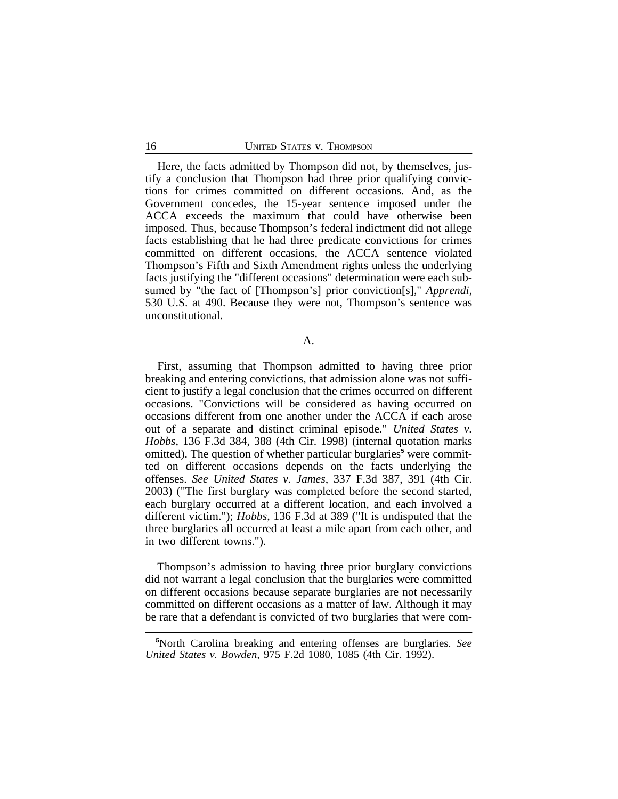Here, the facts admitted by Thompson did not, by themselves, justify a conclusion that Thompson had three prior qualifying convictions for crimes committed on different occasions. And, as the Government concedes, the 15-year sentence imposed under the ACCA exceeds the maximum that could have otherwise been imposed. Thus, because Thompson's federal indictment did not allege facts establishing that he had three predicate convictions for crimes committed on different occasions, the ACCA sentence violated Thompson's Fifth and Sixth Amendment rights unless the underlying facts justifying the "different occasions" determination were each subsumed by "the fact of [Thompson's] prior conviction[s]," *Apprendi*, 530 U.S. at 490. Because they were not, Thompson's sentence was unconstitutional.

A.

First, assuming that Thompson admitted to having three prior breaking and entering convictions, that admission alone was not sufficient to justify a legal conclusion that the crimes occurred on different occasions. "Convictions will be considered as having occurred on occasions different from one another under the ACCA if each arose out of a separate and distinct criminal episode." *United States v. Hobbs*, 136 F.3d 384, 388 (4th Cir. 1998) (internal quotation marks omitted). The question of whether particular burglaries<sup>5</sup> were committed on different occasions depends on the facts underlying the offenses. *See United States v. James*, 337 F.3d 387, 391 (4th Cir. 2003) ("The first burglary was completed before the second started, each burglary occurred at a different location, and each involved a different victim."); *Hobbs*, 136 F.3d at 389 ("It is undisputed that the three burglaries all occurred at least a mile apart from each other, and in two different towns.").

Thompson's admission to having three prior burglary convictions did not warrant a legal conclusion that the burglaries were committed on different occasions because separate burglaries are not necessarily committed on different occasions as a matter of law. Although it may be rare that a defendant is convicted of two burglaries that were com-

**<sup>5</sup>**North Carolina breaking and entering offenses are burglaries. *See United States v. Bowden*, 975 F.2d 1080, 1085 (4th Cir. 1992).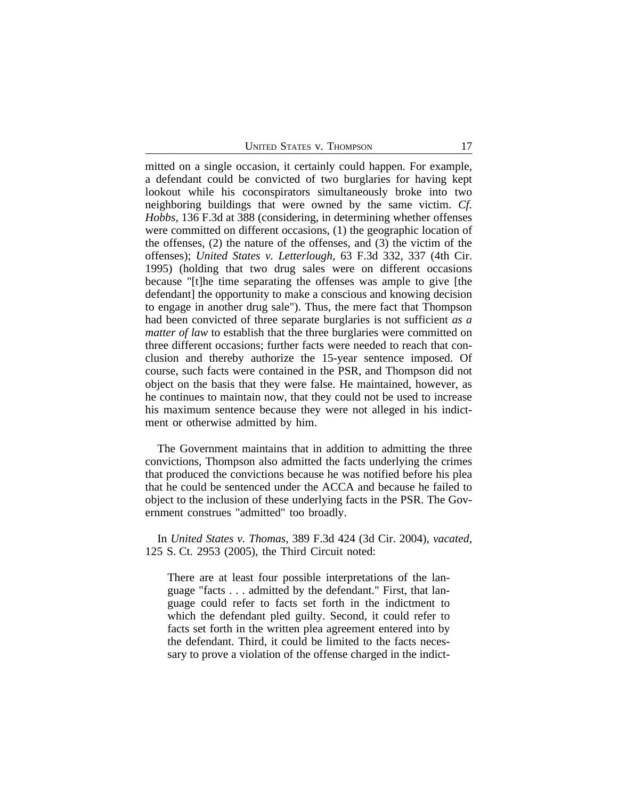mitted on a single occasion, it certainly could happen. For example, a defendant could be convicted of two burglaries for having kept lookout while his coconspirators simultaneously broke into two neighboring buildings that were owned by the same victim. *Cf. Hobbs*, 136 F.3d at 388 (considering, in determining whether offenses were committed on different occasions, (1) the geographic location of the offenses, (2) the nature of the offenses, and (3) the victim of the offenses); *United States v. Letterlough*, 63 F.3d 332, 337 (4th Cir. 1995) (holding that two drug sales were on different occasions because "[t]he time separating the offenses was ample to give [the defendant] the opportunity to make a conscious and knowing decision to engage in another drug sale"). Thus, the mere fact that Thompson had been convicted of three separate burglaries is not sufficient *as a matter of law* to establish that the three burglaries were committed on three different occasions; further facts were needed to reach that conclusion and thereby authorize the 15-year sentence imposed. Of course, such facts were contained in the PSR, and Thompson did not object on the basis that they were false. He maintained, however, as he continues to maintain now, that they could not be used to increase his maximum sentence because they were not alleged in his indictment or otherwise admitted by him.

The Government maintains that in addition to admitting the three convictions, Thompson also admitted the facts underlying the crimes that produced the convictions because he was notified before his plea that he could be sentenced under the ACCA and because he failed to object to the inclusion of these underlying facts in the PSR. The Government construes "admitted" too broadly.

In *United States v. Thomas*, 389 F.3d 424 (3d Cir. 2004), *vacated*, 125 S. Ct. 2953 (2005), the Third Circuit noted:

There are at least four possible interpretations of the language "facts . . . admitted by the defendant." First, that language could refer to facts set forth in the indictment to which the defendant pled guilty. Second, it could refer to facts set forth in the written plea agreement entered into by the defendant. Third, it could be limited to the facts necessary to prove a violation of the offense charged in the indict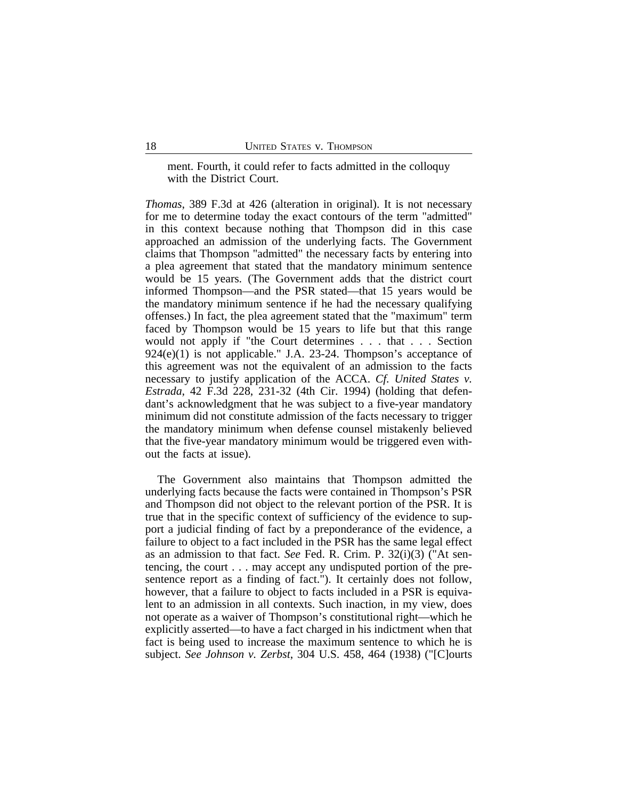ment. Fourth, it could refer to facts admitted in the colloquy with the District Court.

*Thomas*, 389 F.3d at 426 (alteration in original). It is not necessary for me to determine today the exact contours of the term "admitted" in this context because nothing that Thompson did in this case approached an admission of the underlying facts. The Government claims that Thompson "admitted" the necessary facts by entering into a plea agreement that stated that the mandatory minimum sentence would be 15 years. (The Government adds that the district court informed Thompson—and the PSR stated—that 15 years would be the mandatory minimum sentence if he had the necessary qualifying offenses.) In fact, the plea agreement stated that the "maximum" term faced by Thompson would be 15 years to life but that this range would not apply if "the Court determines . . . that . . . Section  $924(e)(1)$  is not applicable." J.A. 23-24. Thompson's acceptance of this agreement was not the equivalent of an admission to the facts necessary to justify application of the ACCA. *Cf. United States v. Estrada*, 42 F.3d 228, 231-32 (4th Cir. 1994) (holding that defendant's acknowledgment that he was subject to a five-year mandatory minimum did not constitute admission of the facts necessary to trigger the mandatory minimum when defense counsel mistakenly believed that the five-year mandatory minimum would be triggered even without the facts at issue).

The Government also maintains that Thompson admitted the underlying facts because the facts were contained in Thompson's PSR and Thompson did not object to the relevant portion of the PSR. It is true that in the specific context of sufficiency of the evidence to support a judicial finding of fact by a preponderance of the evidence, a failure to object to a fact included in the PSR has the same legal effect as an admission to that fact. *See* Fed. R. Crim. P. 32(i)(3) ("At sentencing, the court . . . may accept any undisputed portion of the presentence report as a finding of fact."). It certainly does not follow, however, that a failure to object to facts included in a PSR is equivalent to an admission in all contexts. Such inaction, in my view, does not operate as a waiver of Thompson's constitutional right—which he explicitly asserted—to have a fact charged in his indictment when that fact is being used to increase the maximum sentence to which he is subject. *See Johnson v. Zerbst*, 304 U.S. 458, 464 (1938) ("[C]ourts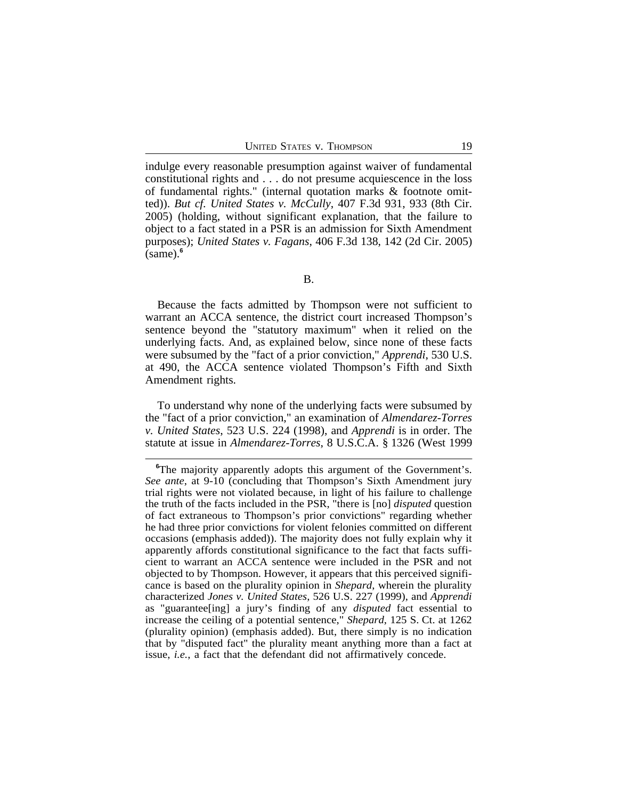indulge every reasonable presumption against waiver of fundamental constitutional rights and . . . do not presume acquiescence in the loss of fundamental rights." (internal quotation marks & footnote omitted)). *But cf. United States v. McCully*, 407 F.3d 931, 933 (8th Cir. 2005) (holding, without significant explanation, that the failure to object to a fact stated in a PSR is an admission for Sixth Amendment purposes); *United States v. Fagans*, 406 F.3d 138, 142 (2d Cir. 2005) (same).**<sup>6</sup>**

Because the facts admitted by Thompson were not sufficient to warrant an ACCA sentence, the district court increased Thompson's sentence beyond the "statutory maximum" when it relied on the underlying facts. And, as explained below, since none of these facts were subsumed by the "fact of a prior conviction," *Apprendi*, 530 U.S. at 490, the ACCA sentence violated Thompson's Fifth and Sixth Amendment rights.

To understand why none of the underlying facts were subsumed by the "fact of a prior conviction," an examination of *Almendarez-Torres v. United States*, 523 U.S. 224 (1998), and *Apprendi* is in order. The statute at issue in *Almendarez-Torres*, 8 U.S.C.A. § 1326 (West 1999

<sup>&</sup>lt;sup>6</sup>The majority apparently adopts this argument of the Government's. *See ante*, at 9-10 (concluding that Thompson's Sixth Amendment jury trial rights were not violated because, in light of his failure to challenge the truth of the facts included in the PSR, "there is [no] *disputed* question of fact extraneous to Thompson's prior convictions" regarding whether he had three prior convictions for violent felonies committed on different occasions (emphasis added)). The majority does not fully explain why it apparently affords constitutional significance to the fact that facts sufficient to warrant an ACCA sentence were included in the PSR and not objected to by Thompson. However, it appears that this perceived significance is based on the plurality opinion in *Shepard*, wherein the plurality characterized *Jones v. United States*, 526 U.S. 227 (1999), and *Apprendi* as "guarantee[ing] a jury's finding of any *disputed* fact essential to increase the ceiling of a potential sentence," *Shepard*, 125 S. Ct. at 1262 (plurality opinion) (emphasis added). But, there simply is no indication that by "disputed fact" the plurality meant anything more than a fact at issue, *i.e.*, a fact that the defendant did not affirmatively concede.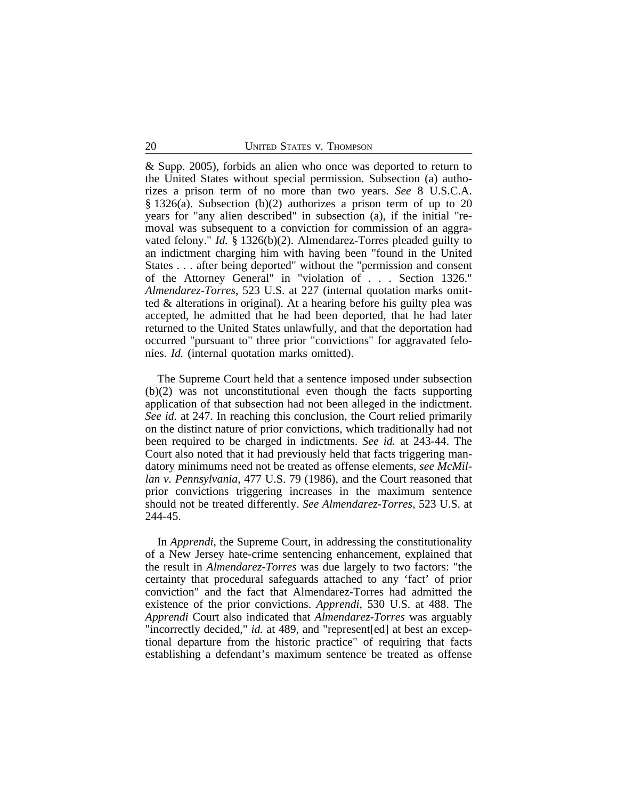& Supp. 2005), forbids an alien who once was deported to return to the United States without special permission. Subsection (a) authorizes a prison term of no more than two years. *See* 8 U.S.C.A. § 1326(a). Subsection (b)(2) authorizes a prison term of up to 20 years for "any alien described" in subsection (a), if the initial "removal was subsequent to a conviction for commission of an aggravated felony." *Id.* § 1326(b)(2). Almendarez-Torres pleaded guilty to an indictment charging him with having been "found in the United States . . . after being deported" without the "permission and consent of the Attorney General" in "violation of . . . Section 1326." *Almendarez-Torres*, 523 U.S. at 227 (internal quotation marks omitted & alterations in original). At a hearing before his guilty plea was accepted, he admitted that he had been deported, that he had later returned to the United States unlawfully, and that the deportation had occurred "pursuant to" three prior "convictions" for aggravated felonies. *Id.* (internal quotation marks omitted).

The Supreme Court held that a sentence imposed under subsection (b)(2) was not unconstitutional even though the facts supporting application of that subsection had not been alleged in the indictment. *See id.* at 247. In reaching this conclusion, the Court relied primarily on the distinct nature of prior convictions, which traditionally had not been required to be charged in indictments. *See id.* at 243-44. The Court also noted that it had previously held that facts triggering mandatory minimums need not be treated as offense elements, *see McMillan v. Pennsylvania*, 477 U.S. 79 (1986), and the Court reasoned that prior convictions triggering increases in the maximum sentence should not be treated differently. *See Almendarez-Torres*, 523 U.S. at 244-45.

In *Apprendi*, the Supreme Court, in addressing the constitutionality of a New Jersey hate-crime sentencing enhancement, explained that the result in *Almendarez-Torres* was due largely to two factors: "the certainty that procedural safeguards attached to any 'fact' of prior conviction" and the fact that Almendarez-Torres had admitted the existence of the prior convictions. *Apprendi*, 530 U.S. at 488. The *Apprendi* Court also indicated that *Almendarez-Torres* was arguably "incorrectly decided," *id.* at 489, and "represent[ed] at best an exceptional departure from the historic practice" of requiring that facts establishing a defendant's maximum sentence be treated as offense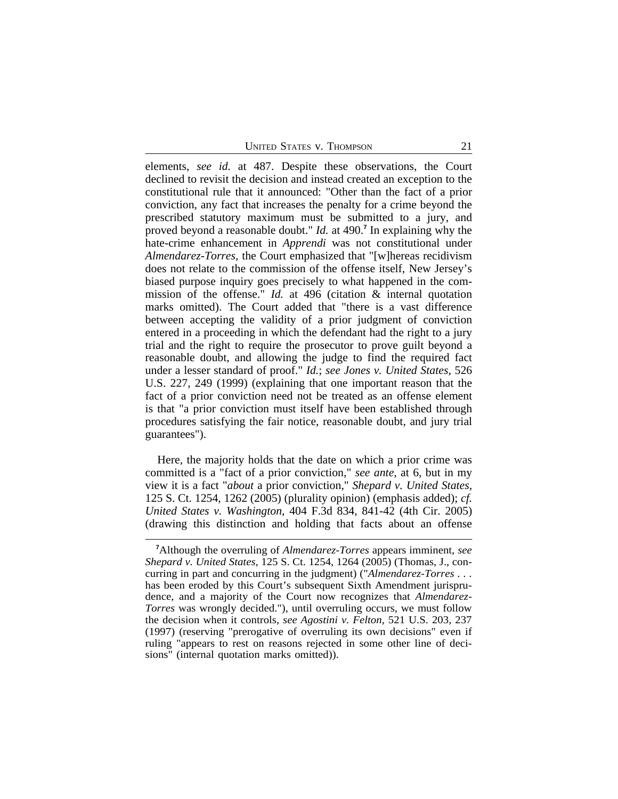elements, *see id.* at 487. Despite these observations, the Court declined to revisit the decision and instead created an exception to the constitutional rule that it announced: "Other than the fact of a prior conviction, any fact that increases the penalty for a crime beyond the prescribed statutory maximum must be submitted to a jury, and proved beyond a reasonable doubt." *Id.* at 490.**<sup>7</sup>** In explaining why the hate-crime enhancement in *Apprendi* was not constitutional under *Almendarez-Torres*, the Court emphasized that "[w]hereas recidivism does not relate to the commission of the offense itself, New Jersey's biased purpose inquiry goes precisely to what happened in the commission of the offense." *Id.* at 496 (citation & internal quotation marks omitted). The Court added that "there is a vast difference between accepting the validity of a prior judgment of conviction entered in a proceeding in which the defendant had the right to a jury trial and the right to require the prosecutor to prove guilt beyond a reasonable doubt, and allowing the judge to find the required fact under a lesser standard of proof." *Id.*; *see Jones v. United States*, 526 U.S. 227, 249 (1999) (explaining that one important reason that the fact of a prior conviction need not be treated as an offense element is that "a prior conviction must itself have been established through procedures satisfying the fair notice, reasonable doubt, and jury trial guarantees").

Here, the majority holds that the date on which a prior crime was committed is a "fact of a prior conviction," *see ante*, at 6, but in my view it is a fact "*about* a prior conviction," *Shepard v. United States*, 125 S. Ct. 1254, 1262 (2005) (plurality opinion) (emphasis added); *cf. United States v. Washington*, 404 F.3d 834, 841-42 (4th Cir. 2005) (drawing this distinction and holding that facts about an offense

**<sup>7</sup>**Although the overruling of *Almendarez-Torres* appears imminent, *see Shepard v. United States*, 125 S. Ct. 1254, 1264 (2005) (Thomas, J., concurring in part and concurring in the judgment) ("*Almendarez-Torres* . . . has been eroded by this Court's subsequent Sixth Amendment jurisprudence, and a majority of the Court now recognizes that *Almendarez-Torres* was wrongly decided."), until overruling occurs, we must follow the decision when it controls, *see Agostini v. Felton*, 521 U.S. 203, 237 (1997) (reserving "prerogative of overruling its own decisions" even if ruling "appears to rest on reasons rejected in some other line of decisions" (internal quotation marks omitted)).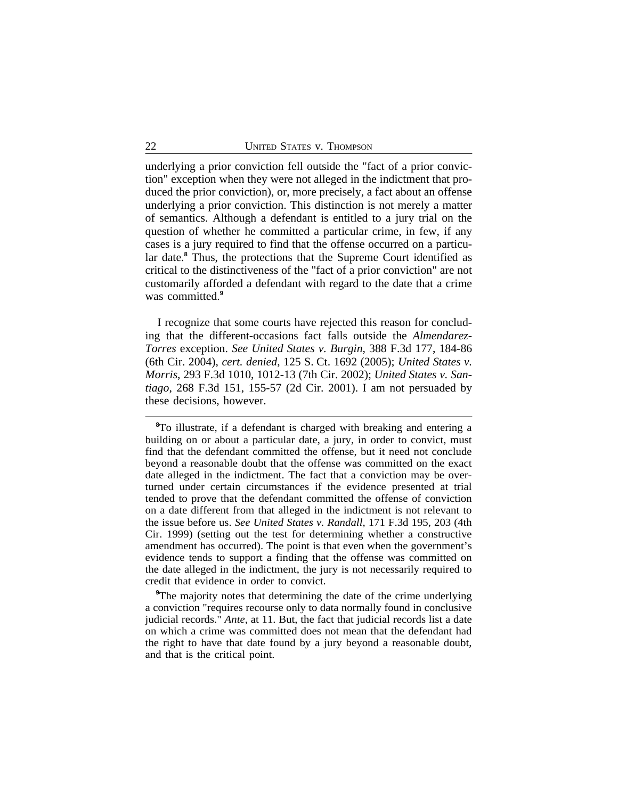underlying a prior conviction fell outside the "fact of a prior conviction" exception when they were not alleged in the indictment that produced the prior conviction), or, more precisely, a fact about an offense underlying a prior conviction. This distinction is not merely a matter of semantics. Although a defendant is entitled to a jury trial on the question of whether he committed a particular crime, in few, if any cases is a jury required to find that the offense occurred on a particular date.**<sup>8</sup>** Thus, the protections that the Supreme Court identified as critical to the distinctiveness of the "fact of a prior conviction" are not customarily afforded a defendant with regard to the date that a crime was committed.**<sup>9</sup>**

I recognize that some courts have rejected this reason for concluding that the different-occasions fact falls outside the *Almendarez-Torres* exception. *See United States v. Burgin*, 388 F.3d 177, 184-86 (6th Cir. 2004), *cert. denied*, 125 S. Ct. 1692 (2005); *United States v. Morris*, 293 F.3d 1010, 1012-13 (7th Cir. 2002); *United States v. Santiago*, 268 F.3d 151, 155-57 (2d Cir. 2001). I am not persuaded by these decisions, however.

**<sup>8</sup>**To illustrate, if a defendant is charged with breaking and entering a building on or about a particular date, a jury, in order to convict, must find that the defendant committed the offense, but it need not conclude beyond a reasonable doubt that the offense was committed on the exact date alleged in the indictment. The fact that a conviction may be overturned under certain circumstances if the evidence presented at trial tended to prove that the defendant committed the offense of conviction on a date different from that alleged in the indictment is not relevant to the issue before us. *See United States v. Randall*, 171 F.3d 195, 203 (4th Cir. 1999) (setting out the test for determining whether a constructive amendment has occurred). The point is that even when the government's evidence tends to support a finding that the offense was committed on the date alleged in the indictment, the jury is not necessarily required to credit that evidence in order to convict.

<sup>&</sup>lt;sup>9</sup>The majority notes that determining the date of the crime underlying a conviction "requires recourse only to data normally found in conclusive judicial records." *Ante*, at 11. But, the fact that judicial records list a date on which a crime was committed does not mean that the defendant had the right to have that date found by a jury beyond a reasonable doubt, and that is the critical point.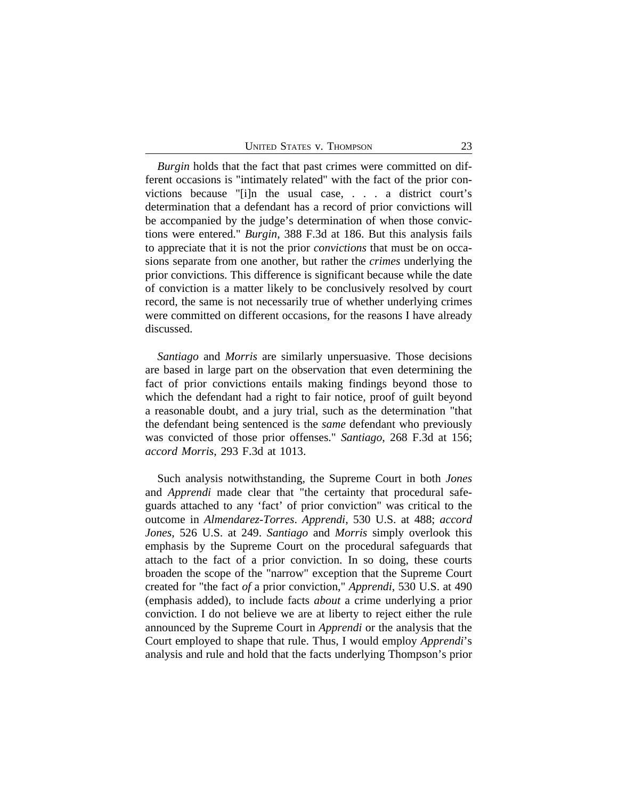*Burgin* holds that the fact that past crimes were committed on different occasions is "intimately related" with the fact of the prior convictions because "[i]n the usual case, . . . a district court's determination that a defendant has a record of prior convictions will be accompanied by the judge's determination of when those convictions were entered." *Burgin*, 388 F.3d at 186. But this analysis fails to appreciate that it is not the prior *convictions* that must be on occasions separate from one another, but rather the *crimes* underlying the prior convictions. This difference is significant because while the date of conviction is a matter likely to be conclusively resolved by court record, the same is not necessarily true of whether underlying crimes were committed on different occasions, for the reasons I have already discussed.

*Santiago* and *Morris* are similarly unpersuasive. Those decisions are based in large part on the observation that even determining the fact of prior convictions entails making findings beyond those to which the defendant had a right to fair notice, proof of guilt beyond a reasonable doubt, and a jury trial, such as the determination "that the defendant being sentenced is the *same* defendant who previously was convicted of those prior offenses." *Santiago*, 268 F.3d at 156; *accord Morris*, 293 F.3d at 1013.

Such analysis notwithstanding, the Supreme Court in both *Jones* and *Apprendi* made clear that "the certainty that procedural safeguards attached to any 'fact' of prior conviction" was critical to the outcome in *Almendarez-Torres*. *Apprendi*, 530 U.S. at 488; *accord Jones*, 526 U.S. at 249. *Santiago* and *Morris* simply overlook this emphasis by the Supreme Court on the procedural safeguards that attach to the fact of a prior conviction. In so doing, these courts broaden the scope of the "narrow" exception that the Supreme Court created for "the fact *of* a prior conviction," *Apprendi*, 530 U.S. at 490 (emphasis added), to include facts *about* a crime underlying a prior conviction. I do not believe we are at liberty to reject either the rule announced by the Supreme Court in *Apprendi* or the analysis that the Court employed to shape that rule. Thus, I would employ *Apprendi*'s analysis and rule and hold that the facts underlying Thompson's prior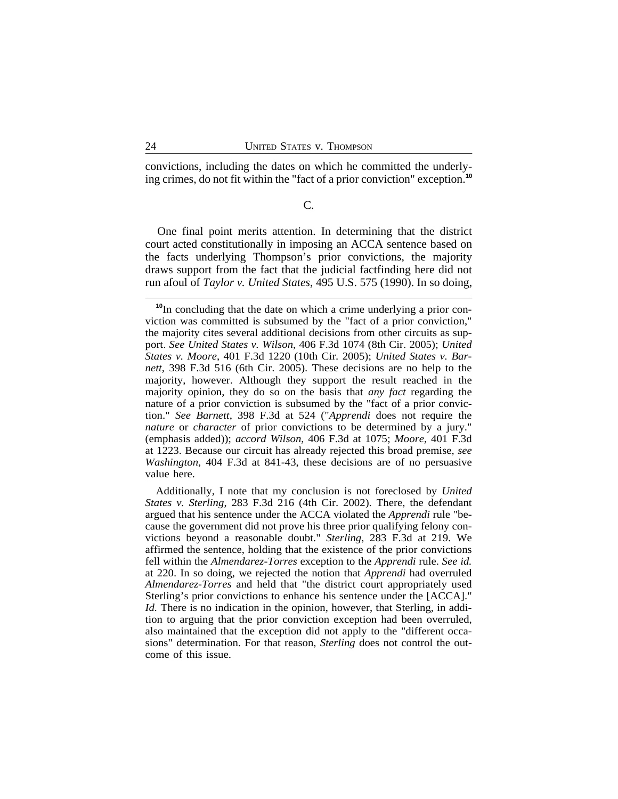convictions, including the dates on which he committed the underlying crimes, do not fit within the "fact of a prior conviction" exception.**<sup>10</sup>**

## C.

One final point merits attention. In determining that the district court acted constitutionally in imposing an ACCA sentence based on the facts underlying Thompson's prior convictions, the majority draws support from the fact that the judicial factfinding here did not run afoul of *Taylor v. United States*, 495 U.S. 575 (1990). In so doing,

**<sup>10</sup>**In concluding that the date on which a crime underlying a prior conviction was committed is subsumed by the "fact of a prior conviction," the majority cites several additional decisions from other circuits as support. *See United States v. Wilson*, 406 F.3d 1074 (8th Cir. 2005); *United States v. Moore*, 401 F.3d 1220 (10th Cir. 2005); *United States v. Barnett*, 398 F.3d 516 (6th Cir. 2005). These decisions are no help to the majority, however. Although they support the result reached in the majority opinion, they do so on the basis that *any fact* regarding the nature of a prior conviction is subsumed by the "fact of a prior conviction." *See Barnett*, 398 F.3d at 524 ("*Apprendi* does not require the *nature* or *character* of prior convictions to be determined by a jury." (emphasis added)); *accord Wilson*, 406 F.3d at 1075; *Moore*, 401 F.3d at 1223. Because our circuit has already rejected this broad premise, *see Washington*, 404 F.3d at 841-43, these decisions are of no persuasive value here.

Additionally, I note that my conclusion is not foreclosed by *United States v. Sterling*, 283 F.3d 216 (4th Cir. 2002). There, the defendant argued that his sentence under the ACCA violated the *Apprendi* rule "because the government did not prove his three prior qualifying felony convictions beyond a reasonable doubt." *Sterling*, 283 F.3d at 219. We affirmed the sentence, holding that the existence of the prior convictions fell within the *Almendarez-Torres* exception to the *Apprendi* rule. *See id.* at 220. In so doing, we rejected the notion that *Apprendi* had overruled *Almendarez-Torres* and held that "the district court appropriately used Sterling's prior convictions to enhance his sentence under the [ACCA]." *Id.* There is no indication in the opinion, however, that Sterling, in addition to arguing that the prior conviction exception had been overruled, also maintained that the exception did not apply to the "different occasions" determination. For that reason, *Sterling* does not control the outcome of this issue.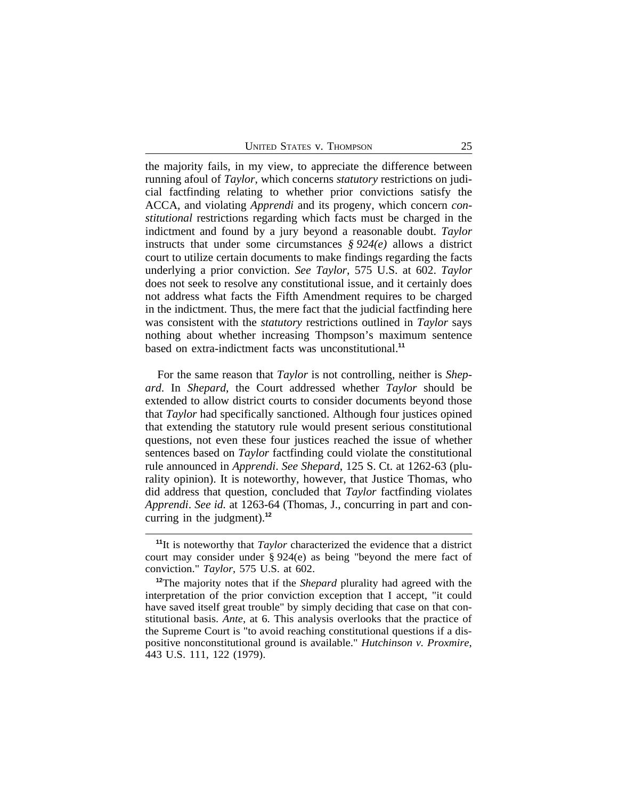the majority fails, in my view, to appreciate the difference between running afoul of *Taylor*, which concerns *statutory* restrictions on judicial factfinding relating to whether prior convictions satisfy the ACCA, and violating *Apprendi* and its progeny, which concern *constitutional* restrictions regarding which facts must be charged in the indictment and found by a jury beyond a reasonable doubt. *Taylor* instructs that under some circumstances *§ 924(e)* allows a district court to utilize certain documents to make findings regarding the facts underlying a prior conviction. *See Taylor*, 575 U.S. at 602. *Taylor* does not seek to resolve any constitutional issue, and it certainly does not address what facts the Fifth Amendment requires to be charged in the indictment. Thus, the mere fact that the judicial factfinding here was consistent with the *statutory* restrictions outlined in *Taylor* says nothing about whether increasing Thompson's maximum sentence based on extra-indictment facts was unconstitutional.**<sup>11</sup>**

For the same reason that *Taylor* is not controlling, neither is *Shepard*. In *Shepard*, the Court addressed whether *Taylor* should be extended to allow district courts to consider documents beyond those that *Taylor* had specifically sanctioned. Although four justices opined that extending the statutory rule would present serious constitutional questions, not even these four justices reached the issue of whether sentences based on *Taylor* factfinding could violate the constitutional rule announced in *Apprendi*. *See Shepard*, 125 S. Ct. at 1262-63 (plurality opinion). It is noteworthy, however, that Justice Thomas, who did address that question, concluded that *Taylor* factfinding violates *Apprendi*. *See id.* at 1263-64 (Thomas, J., concurring in part and concurring in the judgment).**<sup>12</sup>**

**<sup>11</sup>**It is noteworthy that *Taylor* characterized the evidence that a district court may consider under § 924(e) as being "beyond the mere fact of conviction." *Taylor*, 575 U.S. at 602.

**<sup>12</sup>**The majority notes that if the *Shepard* plurality had agreed with the interpretation of the prior conviction exception that I accept, "it could have saved itself great trouble" by simply deciding that case on that constitutional basis. *Ante*, at 6. This analysis overlooks that the practice of the Supreme Court is "to avoid reaching constitutional questions if a dispositive nonconstitutional ground is available." *Hutchinson v. Proxmire*, 443 U.S. 111, 122 (1979).